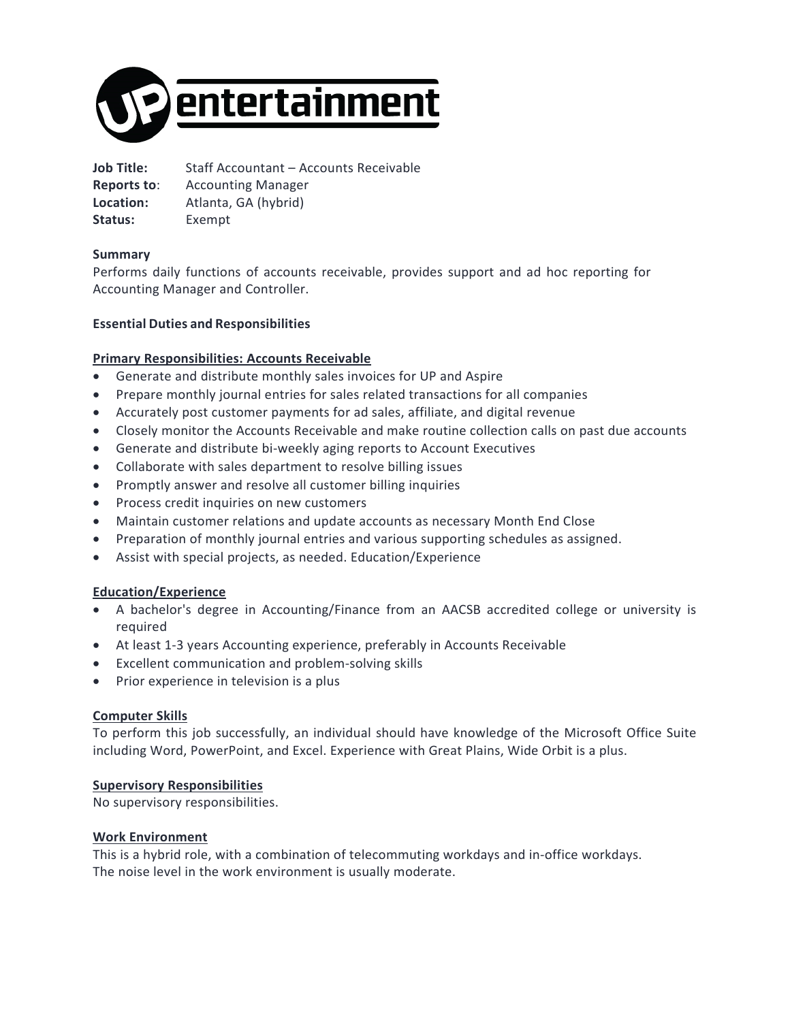

**Job Title:** Staff Accountant – Accounts Receivable **Reports to**: Accounting Manager **Location:** Atlanta, GA (hybrid) **Status:** Exempt

# **Summary**

Performs daily functions of accounts receivable, provides support and ad hoc reporting for Accounting Manager and Controller.

# **Essential Duties and Responsibilities**

### **Primary Responsibilities: Accounts Receivable**

- Generate and distribute monthly sales invoices for UP and Aspire
- Prepare monthly journal entries for sales related transactions for all companies
- Accurately post customer payments for ad sales, affiliate, and digital revenue
- Closely monitor the Accounts Receivable and make routine collection calls on past due accounts
- Generate and distribute bi-weekly aging reports to Account Executives
- Collaborate with sales department to resolve billing issues
- Promptly answer and resolve all customer billing inquiries
- Process credit inquiries on new customers
- Maintain customer relations and update accounts as necessary Month End Close
- Preparation of monthly journal entries and various supporting schedules as assigned.
- Assist with special projects, as needed. Education/Experience

### **Education/Experience**

- A bachelor's degree in Accounting/Finance from an AACSB accredited college or university is required
- At least 1-3 years Accounting experience, preferably in Accounts Receivable
- Excellent communication and problem-solving skills
- Prior experience in television is a plus

### **Computer Skills**

To perform this job successfully, an individual should have knowledge of the Microsoft Office Suite including Word, PowerPoint, and Excel. Experience with Great Plains, Wide Orbit is a plus.

### **Supervisory Responsibilities**

No supervisory responsibilities.

### **Work Environment**

This is a hybrid role, with a combination of telecommuting workdays and in-office workdays. The noise level in the work environment is usually moderate.